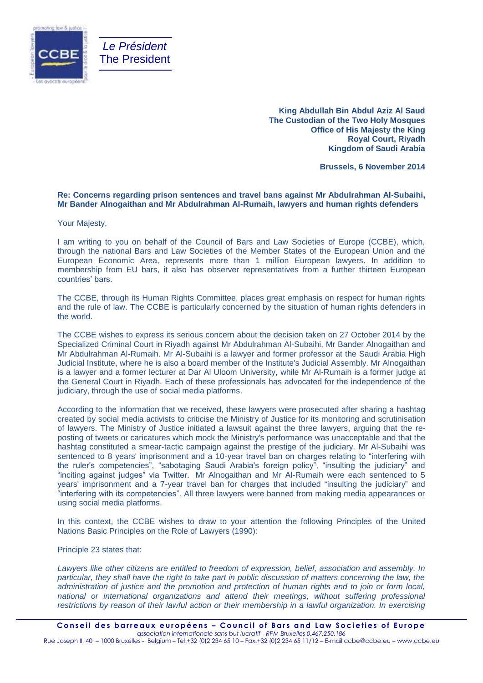

**King Abdullah Bin Abdul Aziz Al Saud The Custodian of the Two Holy Mosques Office of His Majesty the King Royal Court, Riyadh Kingdom of Saudi Arabia**

**Brussels, 6 November 2014**

## **Re: Concerns regarding prison sentences and travel bans against Mr Abdulrahman Al-Subaihi, Mr Bander Alnogaithan and Mr Abdulrahman Al-Rumaih, lawyers and human rights defenders**

Your Majesty,

I am writing to you on behalf of the Council of Bars and Law Societies of Europe (CCBE), which, through the national Bars and Law Societies of the Member States of the European Union and the European Economic Area, represents more than 1 million European lawyers. In addition to membership from EU bars, it also has observer representatives from a further thirteen European countries' bars.

The CCBE, through its Human Rights Committee, places great emphasis on respect for human rights and the rule of law. The CCBE is particularly concerned by the situation of human rights defenders in the world.

The CCBE wishes to express its serious concern about the decision taken on 27 October 2014 by the Specialized Criminal Court in Riyadh against Mr Abdulrahman Al-Subaihi, Mr Bander Alnogaithan and Mr Abdulrahman Al-Rumaih. Mr Al-Subaihi is a lawyer and former professor at the Saudi Arabia High Judicial Institute, where he is also a board member of the Institute's Judicial Assembly. Mr Alnogaithan is a lawyer and a former lecturer at Dar Al Uloom University, while Mr Al-Rumaih is a former judge at the General Court in Riyadh. Each of these professionals has advocated for the independence of the judiciary, through the use of social media platforms.

According to the information that we received, these lawyers were prosecuted after sharing a hashtag created by social media activists to criticise the Ministry of Justice for its monitoring and scrutinisation of lawyers. The Ministry of Justice initiated a lawsuit against the three lawyers, arguing that the reposting of tweets or caricatures which mock the Ministry's performance was unacceptable and that the hashtag constituted a smear-tactic campaign against the prestige of the judiciary. Mr Al-Subaihi was sentenced to 8 years' imprisonment and a 10-year travel ban on charges relating to "interfering with the ruler's competencies", "sabotaging Saudi Arabia's foreign policy", "insulting the judiciary" and "inciting against judges" via Twitter. Mr Alnogaithan and Mr Al-Rumaih were each sentenced to 5 years' imprisonment and a 7-year travel ban for charges that included "insulting the judiciary" and "interfering with its competencies". All three lawyers were banned from making media appearances or using social media platforms.

In this context, the CCBE wishes to draw to your attention the following Principles of the United Nations Basic Principles on the Role of Lawyers (1990):

Principle 23 states that:

*Lawyers like other citizens are entitled to freedom of expression, belief, association and assembly. In particular, they shall have the right to take part in public discussion of matters concerning the law, the administration of justice and the promotion and protection of human rights and to join or form local, national or international organizations and attend their meetings, without suffering professional restrictions by reason of their lawful action or their membership in a lawful organization. In exercising*